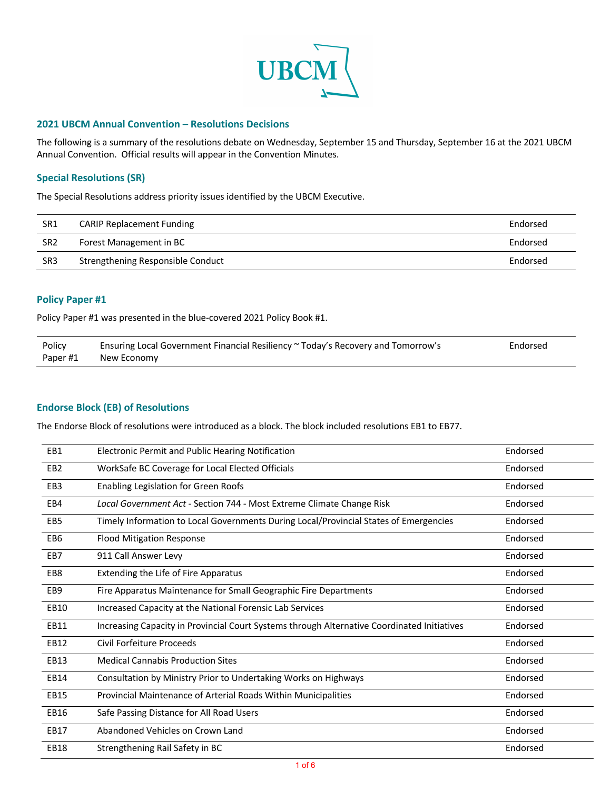

### **2021 UBCM Annual Convention – Resolutions Decisions**

The following is a summary of the resolutions debate on Wednesday, September 15 and Thursday, September 16 at the 2021 UBCM Annual Convention. Official results will appear in the Convention Minutes.

### **Special Resolutions (SR)**

The Special Resolutions address priority issues identified by the UBCM Executive.

| SR1             | <b>CARIP Replacement Funding</b>  | Endorsed |
|-----------------|-----------------------------------|----------|
| SR <sub>2</sub> | Forest Management in BC           | Endorsed |
| SR <sub>3</sub> | Strengthening Responsible Conduct | Endorsed |

#### **Policy Paper #1**

Policy Paper #1 was presented in the blue-covered 2021 Policy Book #1.

| Policy  | Ensuring Local Government Financial Resiliency ~ Today's Recovery and Tomorrow's | Endorsed |
|---------|----------------------------------------------------------------------------------|----------|
| Paper#1 | New Economy                                                                      |          |

### **Endorse Block (EB) of Resolutions**

The Endorse Block of resolutions were introduced as a block. The block included resolutions EB1 to EB77.

| EB1             | Electronic Permit and Public Hearing Notification                                           | Endorsed |
|-----------------|---------------------------------------------------------------------------------------------|----------|
| EB <sub>2</sub> | WorkSafe BC Coverage for Local Elected Officials                                            | Endorsed |
| EB <sub>3</sub> | Enabling Legislation for Green Roofs                                                        | Endorsed |
| EB4             | Local Government Act - Section 744 - Most Extreme Climate Change Risk                       | Endorsed |
| EB <sub>5</sub> | Timely Information to Local Governments During Local/Provincial States of Emergencies       | Endorsed |
| EB <sub>6</sub> | <b>Flood Mitigation Response</b>                                                            | Endorsed |
| EB7             | 911 Call Answer Levy                                                                        | Endorsed |
| EB8             | Extending the Life of Fire Apparatus                                                        | Endorsed |
| EB <sub>9</sub> | Fire Apparatus Maintenance for Small Geographic Fire Departments                            | Endorsed |
| <b>EB10</b>     | Increased Capacity at the National Forensic Lab Services                                    | Endorsed |
| EB11            | Increasing Capacity in Provincial Court Systems through Alternative Coordinated Initiatives | Endorsed |
| EB12            | Civil Forfeiture Proceeds                                                                   | Endorsed |
| EB13            | <b>Medical Cannabis Production Sites</b>                                                    | Endorsed |
| EB14            | Consultation by Ministry Prior to Undertaking Works on Highways                             | Endorsed |
| <b>EB15</b>     | Provincial Maintenance of Arterial Roads Within Municipalities                              | Endorsed |
| <b>EB16</b>     | Safe Passing Distance for All Road Users                                                    | Endorsed |
| EB17            | Abandoned Vehicles on Crown Land                                                            | Endorsed |
| <b>EB18</b>     | Strengthening Rail Safety in BC                                                             | Endorsed |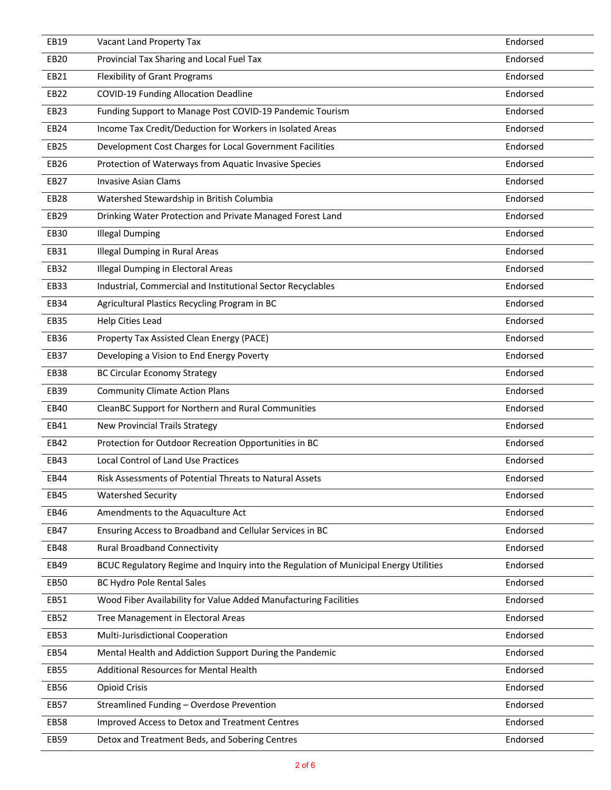| EB19             | Vacant Land Property Tax                                                             | Endorsed |
|------------------|--------------------------------------------------------------------------------------|----------|
| EB20             | Provincial Tax Sharing and Local Fuel Tax                                            | Endorsed |
| EB21             | <b>Flexibility of Grant Programs</b>                                                 | Endorsed |
| EB22             | <b>COVID-19 Funding Allocation Deadline</b>                                          | Endorsed |
| EB23             | Funding Support to Manage Post COVID-19 Pandemic Tourism                             | Endorsed |
| EB24             | Income Tax Credit/Deduction for Workers in Isolated Areas                            | Endorsed |
| <b>EB25</b>      | Development Cost Charges for Local Government Facilities                             | Endorsed |
| EB26             | Protection of Waterways from Aquatic Invasive Species                                | Endorsed |
| EB27             | <b>Invasive Asian Clams</b>                                                          | Endorsed |
| EB <sub>28</sub> | Watershed Stewardship in British Columbia                                            | Endorsed |
| EB29             | Drinking Water Protection and Private Managed Forest Land                            | Endorsed |
| EB30             | <b>Illegal Dumping</b>                                                               | Endorsed |
| EB31             | <b>Illegal Dumping in Rural Areas</b>                                                | Endorsed |
| EB32             | Illegal Dumping in Electoral Areas                                                   | Endorsed |
| EB33             | Industrial, Commercial and Institutional Sector Recyclables                          | Endorsed |
| EB34             | Agricultural Plastics Recycling Program in BC                                        | Endorsed |
| <b>EB35</b>      | Help Cities Lead                                                                     | Endorsed |
| <b>EB36</b>      | Property Tax Assisted Clean Energy (PACE)                                            | Endorsed |
| EB37             | Developing a Vision to End Energy Poverty                                            | Endorsed |
| <b>EB38</b>      | <b>BC Circular Economy Strategy</b>                                                  | Endorsed |
| EB39             | <b>Community Climate Action Plans</b>                                                | Endorsed |
| EB40             | CleanBC Support for Northern and Rural Communities                                   | Endorsed |
| EB41             | <b>New Provincial Trails Strategy</b>                                                | Endorsed |
| EB42             | Protection for Outdoor Recreation Opportunities in BC                                | Endorsed |
| EB43             | <b>Local Control of Land Use Practices</b>                                           | Endorsed |
| EB44             | Risk Assessments of Potential Threats to Natural Assets                              | Endorsed |
| EB45             | <b>Watershed Security</b>                                                            | Endorsed |
| EB46             | Amendments to the Aquaculture Act                                                    | Endorsed |
| EB47             | Ensuring Access to Broadband and Cellular Services in BC                             | Endorsed |
| EB48             | <b>Rural Broadband Connectivity</b>                                                  | Endorsed |
| EB49             | BCUC Regulatory Regime and Inquiry into the Regulation of Municipal Energy Utilities | Endorsed |
| <b>EB50</b>      | <b>BC Hydro Pole Rental Sales</b>                                                    | Endorsed |
| EB51             | Wood Fiber Availability for Value Added Manufacturing Facilities                     | Endorsed |
| EB52             | Tree Management in Electoral Areas                                                   | Endorsed |
| EB53             | Multi-Jurisdictional Cooperation                                                     | Endorsed |
| EB54             | Mental Health and Addiction Support During the Pandemic                              | Endorsed |
| <b>EB55</b>      | Additional Resources for Mental Health                                               | Endorsed |
| EB56             | <b>Opioid Crisis</b>                                                                 | Endorsed |
| EB57             | Streamlined Funding - Overdose Prevention                                            | Endorsed |
| EB58             | Improved Access to Detox and Treatment Centres                                       | Endorsed |
| EB59             | Detox and Treatment Beds, and Sobering Centres                                       | Endorsed |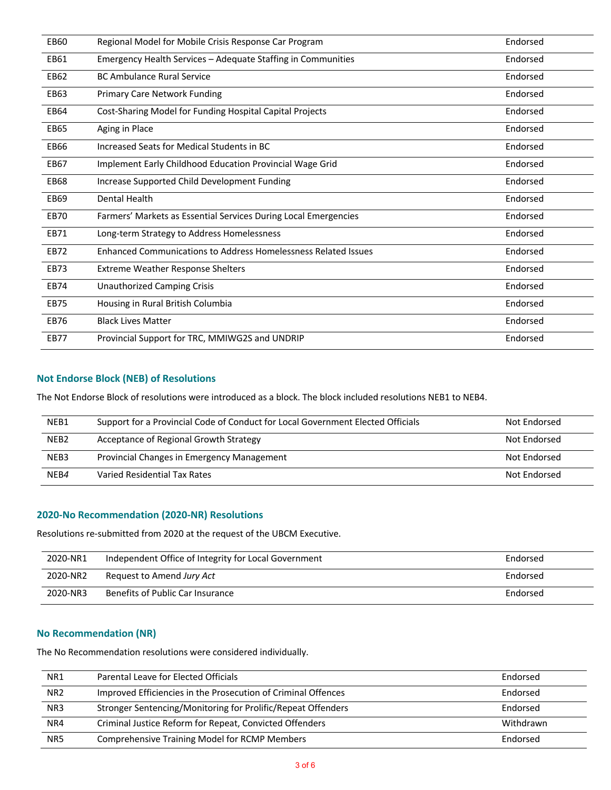| <b>EB60</b> | Regional Model for Mobile Crisis Response Car Program           | Endorsed |
|-------------|-----------------------------------------------------------------|----------|
| EB61        | Emergency Health Services - Adequate Staffing in Communities    | Endorsed |
| EB62        | <b>BC Ambulance Rural Service</b>                               | Endorsed |
| EB63        | <b>Primary Care Network Funding</b>                             | Endorsed |
| EB64        | Cost-Sharing Model for Funding Hospital Capital Projects        | Endorsed |
| <b>EB65</b> | Aging in Place                                                  | Endorsed |
| <b>EB66</b> | Increased Seats for Medical Students in BC                      | Endorsed |
| EB67        | Implement Early Childhood Education Provincial Wage Grid        | Endorsed |
| <b>EB68</b> | Increase Supported Child Development Funding                    | Endorsed |
| <b>EB69</b> | Dental Health                                                   | Endorsed |
| <b>EB70</b> | Farmers' Markets as Essential Services During Local Emergencies | Endorsed |
| EB71        | Long-term Strategy to Address Homelessness                      | Endorsed |
| <b>EB72</b> | Enhanced Communications to Address Homelessness Related Issues  | Endorsed |
| EB73        | <b>Extreme Weather Response Shelters</b>                        | Endorsed |
| EB74        | <b>Unauthorized Camping Crisis</b>                              | Endorsed |
| <b>EB75</b> | Housing in Rural British Columbia                               | Endorsed |
| <b>EB76</b> | <b>Black Lives Matter</b>                                       | Endorsed |
| <b>EB77</b> | Provincial Support for TRC, MMIWG2S and UNDRIP                  | Endorsed |

# **Not Endorse Block (NEB) of Resolutions**

The Not Endorse Block of resolutions were introduced as a block. The block included resolutions NEB1 to NEB4.

| NEB1             | Support for a Provincial Code of Conduct for Local Government Elected Officials | Not Endorsed |
|------------------|---------------------------------------------------------------------------------|--------------|
| NEB <sub>2</sub> | Acceptance of Regional Growth Strategy                                          | Not Endorsed |
| NEB3             | Provincial Changes in Emergency Management                                      | Not Endorsed |
| NEB4             | Varied Residential Tax Rates                                                    | Not Endorsed |

### **2020-No Recommendation (2020-NR) Resolutions**

Resolutions re-submitted from 2020 at the request of the UBCM Executive.

| 2020-NR1 | Independent Office of Integrity for Local Government | Endorsed |
|----------|------------------------------------------------------|----------|
| 2020-NR2 | Request to Amend Jury Act                            | Endorsed |
| 2020-NR3 | Benefits of Public Car Insurance                     | Endorsed |

## **No Recommendation (NR)**

The No Recommendation resolutions were considered individually.

| NR <sub>1</sub> | Parental Leave for Elected Officials                          | Endorsed  |
|-----------------|---------------------------------------------------------------|-----------|
| NR <sub>2</sub> | Improved Efficiencies in the Prosecution of Criminal Offences | Endorsed  |
| NR <sub>3</sub> | Stronger Sentencing/Monitoring for Prolific/Repeat Offenders  | Endorsed  |
| NR4             | Criminal Justice Reform for Repeat, Convicted Offenders       | Withdrawn |
| NR5             | <b>Comprehensive Training Model for RCMP Members</b>          | Endorsed  |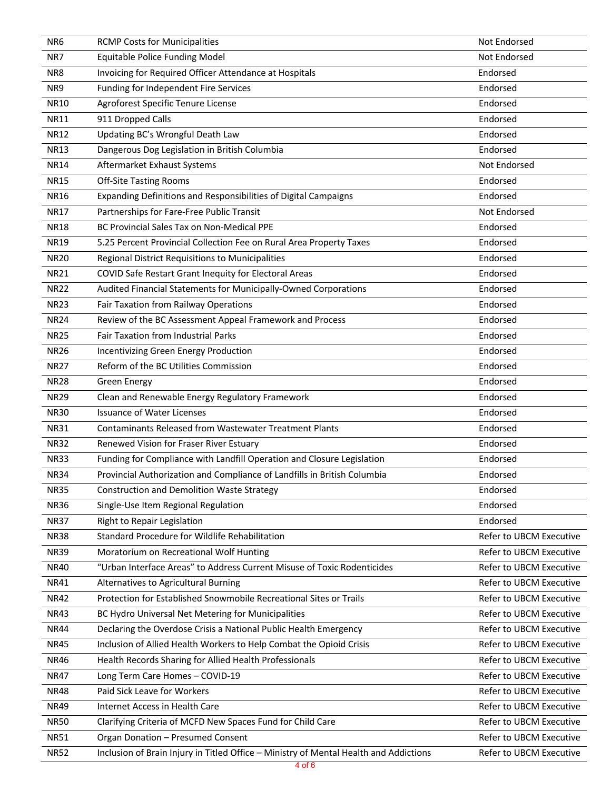| NR <sub>6</sub> | <b>RCMP Costs for Municipalities</b>                                                  | Not Endorsed            |
|-----------------|---------------------------------------------------------------------------------------|-------------------------|
| NR7             | <b>Equitable Police Funding Model</b>                                                 | Not Endorsed            |
| NR8             | Invoicing for Required Officer Attendance at Hospitals                                | Endorsed                |
| NR9             | Funding for Independent Fire Services                                                 | Endorsed                |
| <b>NR10</b>     | Agroforest Specific Tenure License                                                    | Endorsed                |
| <b>NR11</b>     | 911 Dropped Calls                                                                     | Endorsed                |
| <b>NR12</b>     | Updating BC's Wrongful Death Law                                                      | Endorsed                |
| <b>NR13</b>     | Dangerous Dog Legislation in British Columbia                                         | Endorsed                |
| <b>NR14</b>     | Aftermarket Exhaust Systems                                                           | Not Endorsed            |
| <b>NR15</b>     | <b>Off-Site Tasting Rooms</b>                                                         | Endorsed                |
| <b>NR16</b>     | Expanding Definitions and Responsibilities of Digital Campaigns                       | Endorsed                |
| <b>NR17</b>     | Partnerships for Fare-Free Public Transit                                             | Not Endorsed            |
| <b>NR18</b>     | BC Provincial Sales Tax on Non-Medical PPE                                            | Endorsed                |
| <b>NR19</b>     | 5.25 Percent Provincial Collection Fee on Rural Area Property Taxes                   | Endorsed                |
| <b>NR20</b>     | Regional District Requisitions to Municipalities                                      | Endorsed                |
| <b>NR21</b>     | COVID Safe Restart Grant Inequity for Electoral Areas                                 | Endorsed                |
| <b>NR22</b>     | Audited Financial Statements for Municipally-Owned Corporations                       | Endorsed                |
| <b>NR23</b>     | Fair Taxation from Railway Operations                                                 | Endorsed                |
| <b>NR24</b>     | Review of the BC Assessment Appeal Framework and Process                              | Endorsed                |
| <b>NR25</b>     | <b>Fair Taxation from Industrial Parks</b>                                            | Endorsed                |
| <b>NR26</b>     | Incentivizing Green Energy Production                                                 | Endorsed                |
| <b>NR27</b>     | Reform of the BC Utilities Commission                                                 | Endorsed                |
| <b>NR28</b>     | <b>Green Energy</b>                                                                   | Endorsed                |
| <b>NR29</b>     | Clean and Renewable Energy Regulatory Framework                                       | Endorsed                |
| <b>NR30</b>     | <b>Issuance of Water Licenses</b>                                                     | Endorsed                |
| <b>NR31</b>     | <b>Contaminants Released from Wastewater Treatment Plants</b>                         | Endorsed                |
| <b>NR32</b>     | Renewed Vision for Fraser River Estuary                                               | Endorsed                |
| <b>NR33</b>     | Funding for Compliance with Landfill Operation and Closure Legislation                | Endorsed                |
| <b>NR34</b>     | Provincial Authorization and Compliance of Landfills in British Columbia              | Endorsed                |
| <b>NR35</b>     | <b>Construction and Demolition Waste Strategy</b>                                     | Endorsed                |
| <b>NR36</b>     | Single-Use Item Regional Regulation                                                   | Endorsed                |
| <b>NR37</b>     | Right to Repair Legislation                                                           | Endorsed                |
| <b>NR38</b>     | Standard Procedure for Wildlife Rehabilitation                                        | Refer to UBCM Executive |
| <b>NR39</b>     | Moratorium on Recreational Wolf Hunting                                               | Refer to UBCM Executive |
| <b>NR40</b>     | "Urban Interface Areas" to Address Current Misuse of Toxic Rodenticides               | Refer to UBCM Executive |
| <b>NR41</b>     | Alternatives to Agricultural Burning                                                  | Refer to UBCM Executive |
| <b>NR42</b>     | Protection for Established Snowmobile Recreational Sites or Trails                    | Refer to UBCM Executive |
| <b>NR43</b>     | BC Hydro Universal Net Metering for Municipalities                                    | Refer to UBCM Executive |
| <b>NR44</b>     | Declaring the Overdose Crisis a National Public Health Emergency                      | Refer to UBCM Executive |
| <b>NR45</b>     | Inclusion of Allied Health Workers to Help Combat the Opioid Crisis                   | Refer to UBCM Executive |
| <b>NR46</b>     | Health Records Sharing for Allied Health Professionals                                | Refer to UBCM Executive |
| <b>NR47</b>     | Long Term Care Homes - COVID-19                                                       | Refer to UBCM Executive |
| <b>NR48</b>     | Paid Sick Leave for Workers                                                           | Refer to UBCM Executive |
| <b>NR49</b>     | Internet Access in Health Care                                                        | Refer to UBCM Executive |
| <b>NR50</b>     | Clarifying Criteria of MCFD New Spaces Fund for Child Care                            | Refer to UBCM Executive |
| <b>NR51</b>     | Organ Donation - Presumed Consent                                                     | Refer to UBCM Executive |
| <b>NR52</b>     | Inclusion of Brain Injury in Titled Office - Ministry of Mental Health and Addictions | Refer to UBCM Executive |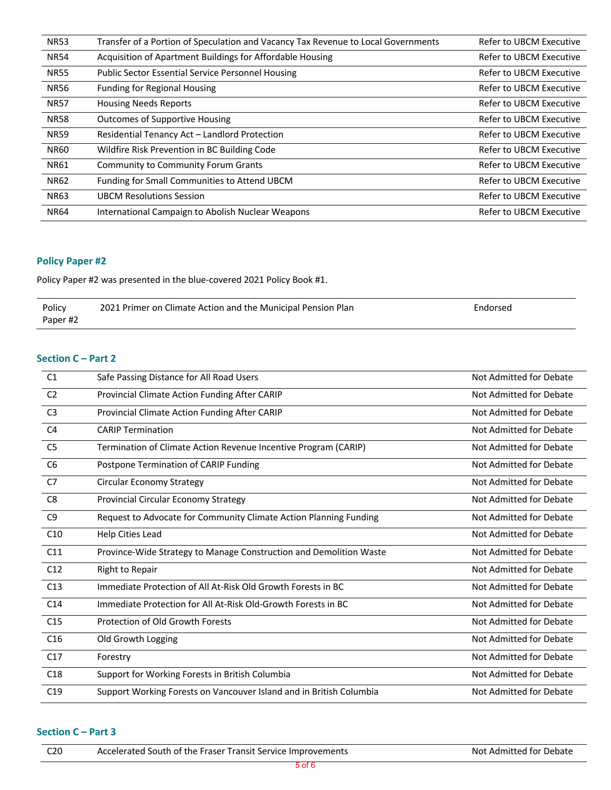| <b>NR53</b> | Transfer of a Portion of Speculation and Vacancy Tax Revenue to Local Governments | Refer to UBCM Executive |
|-------------|-----------------------------------------------------------------------------------|-------------------------|
| <b>NR54</b> | Acquisition of Apartment Buildings for Affordable Housing                         | Refer to UBCM Executive |
| <b>NR55</b> | <b>Public Sector Essential Service Personnel Housing</b>                          | Refer to UBCM Executive |
| <b>NR56</b> | <b>Funding for Regional Housing</b>                                               | Refer to UBCM Executive |
| <b>NR57</b> | <b>Housing Needs Reports</b>                                                      | Refer to UBCM Executive |
| <b>NR58</b> | <b>Outcomes of Supportive Housing</b>                                             | Refer to UBCM Executive |
| <b>NR59</b> | Residential Tenancy Act - Landlord Protection                                     | Refer to UBCM Executive |
| <b>NR60</b> | Wildfire Risk Prevention in BC Building Code                                      | Refer to UBCM Executive |
| <b>NR61</b> | <b>Community to Community Forum Grants</b>                                        | Refer to UBCM Executive |
| <b>NR62</b> | Funding for Small Communities to Attend UBCM                                      | Refer to UBCM Executive |
| <b>NR63</b> | <b>UBCM Resolutions Session</b>                                                   | Refer to UBCM Executive |
| <b>NR64</b> | International Campaign to Abolish Nuclear Weapons                                 | Refer to UBCM Executive |

# **Policy Paper #2**

Policy Paper #2 was presented in the blue-covered 2021 Policy Book #1.

| Policy   | 2021 Primer on Climate Action and the Municipal Pension Plan | Endorsed |
|----------|--------------------------------------------------------------|----------|
| Paper #2 |                                                              |          |

# **Section C – Part 2**

| C1              | Safe Passing Distance for All Road Users                            | Not Admitted for Debate |
|-----------------|---------------------------------------------------------------------|-------------------------|
| C <sub>2</sub>  | Provincial Climate Action Funding After CARIP                       | Not Admitted for Debate |
| C <sub>3</sub>  | Provincial Climate Action Funding After CARIP                       | Not Admitted for Debate |
| C <sub>4</sub>  | <b>CARIP Termination</b>                                            | Not Admitted for Debate |
| C <sub>5</sub>  | Termination of Climate Action Revenue Incentive Program (CARIP)     | Not Admitted for Debate |
| C <sub>6</sub>  | Postpone Termination of CARIP Funding                               | Not Admitted for Debate |
| C7              | <b>Circular Economy Strategy</b>                                    | Not Admitted for Debate |
| C <sub>8</sub>  | Provincial Circular Economy Strategy                                | Not Admitted for Debate |
| C <sub>9</sub>  | Request to Advocate for Community Climate Action Planning Funding   | Not Admitted for Debate |
| C10             | Help Cities Lead                                                    | Not Admitted for Debate |
| C11             | Province-Wide Strategy to Manage Construction and Demolition Waste  | Not Admitted for Debate |
| C12             | Right to Repair                                                     | Not Admitted for Debate |
| C13             | Immediate Protection of All At-Risk Old Growth Forests in BC        | Not Admitted for Debate |
| C <sub>14</sub> | Immediate Protection for All At-Risk Old-Growth Forests in BC       | Not Admitted for Debate |
| C15             | Protection of Old Growth Forests                                    | Not Admitted for Debate |
| C <sub>16</sub> | Old Growth Logging                                                  | Not Admitted for Debate |
| C17             | Forestry                                                            | Not Admitted for Debate |
| C18             | Support for Working Forests in British Columbia                     | Not Admitted for Debate |
| C19             | Support Working Forests on Vancouver Island and in British Columbia | Not Admitted for Debate |

# **Section C – Part 3**

| C <sub>20</sub> | Accelerated South of the Fraser Transit Service Improvements | Not Admitted for Debate |
|-----------------|--------------------------------------------------------------|-------------------------|
|                 |                                                              |                         |